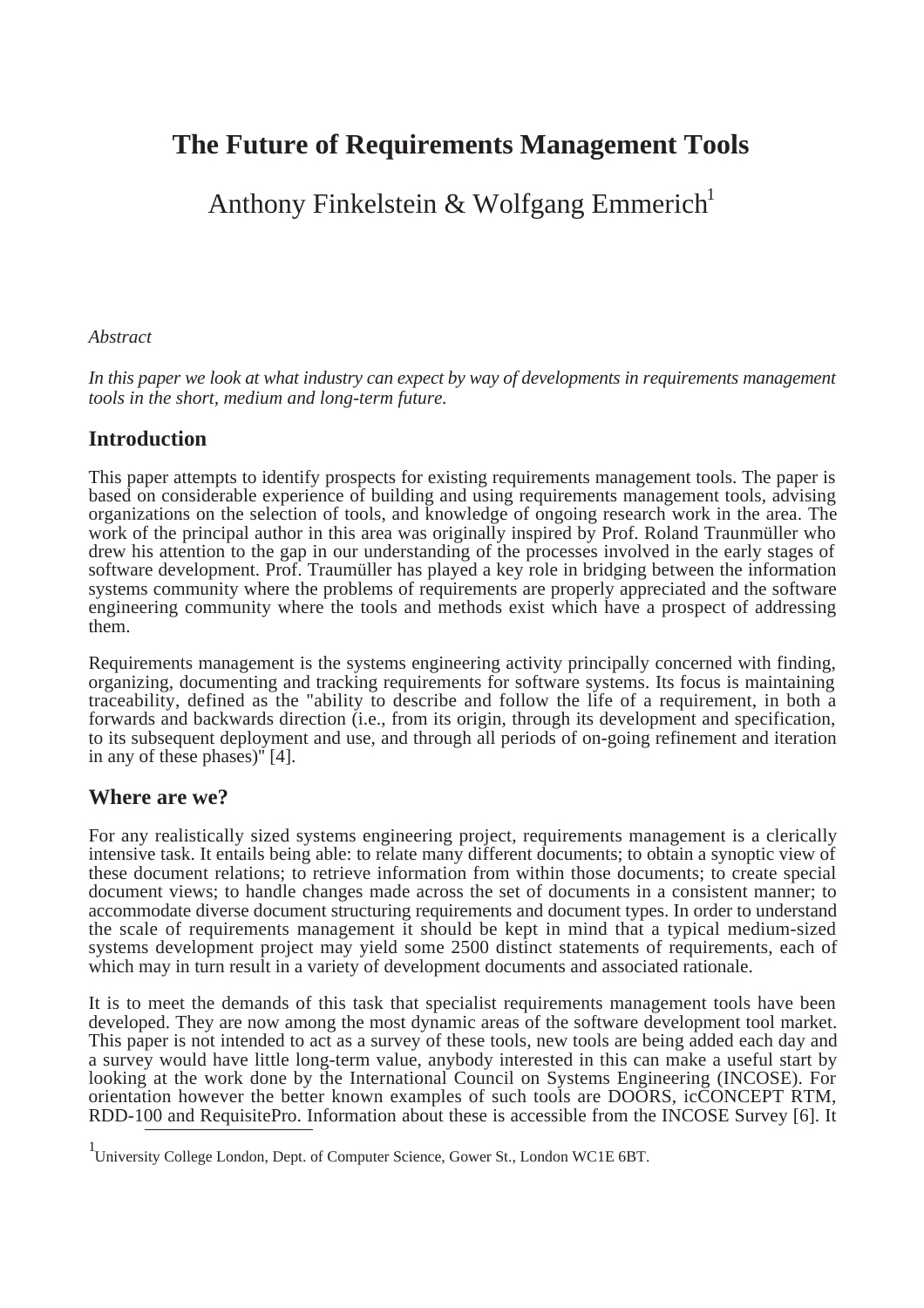# **The Future of Requirements Management Tools**

Anthony Finkelstein & Wolfgang Emmerich<sup>1</sup>

#### *Abstract*

*In this paper we look at what industry can expect by way of developments in requirements management tools in the short, medium and long-term future.*

## **Introduction**

This paper attempts to identify prospects for existing requirements management tools. The paper is based on considerable experience of building and using requirements management tools, advising organizations on the selection of tools, and knowledge of ongoing research work in the area. The work of the principal author in this area was originally inspired by Prof. Roland Traunmüller who drew his attention to the gap in our understanding of the processes involved in the early stages of software development. Prof. Traumüller has played a key role in bridging between the information systems community where the problems of requirements are properly appreciated and the software engineering community where the tools and methods exist which have a prospect of addressing them.

Requirements management is the systems engineering activity principally concerned with finding, organizing, documenting and tracking requirements for software systems. Its focus is maintaining traceability, defined as the "ability to describe and follow the life of a requirement, in both a forwards and backwards direction (i.e., from its origin, through its development and specification, to its subsequent deployment and use, and through all periods of on-going refinement and iteration in any of these phases)'' [4].

## **Where are we?**

For any realistically sized systems engineering project, requirements management is a clerically intensive task. It entails being able: to relate many different documents; to obtain a synoptic view of these document relations; to retrieve information from within those documents; to create special document views; to handle changes made across the set of documents in a consistent manner; to accommodate diverse document structuring requirements and document types. In order to understand the scale of requirements management it should be kept in mind that a typical medium-sized systems development project may yield some 2500 distinct statements of requirements, each of which may in turn result in a variety of development documents and associated rationale.

It is to meet the demands of this task that specialist requirements management tools have been developed. They are now among the most dynamic areas of the software development tool market. This paper is not intended to act as a survey of these tools, new tools are being added each day and a survey would have little long-term value, anybody interested in this can make a useful start by looking at the work done by the International Council on Systems Engineering (INCOSE). For orientation however the better known examples of such tools are DOORS, icCONCEPT RTM, RDD-100 and RequisitePro. Information about these is accessible from the INCOSE Survey [6]. It

<sup>&</sup>lt;sup>1</sup> University College London, Dept. of Computer Science, Gower St., London WC1E 6BT.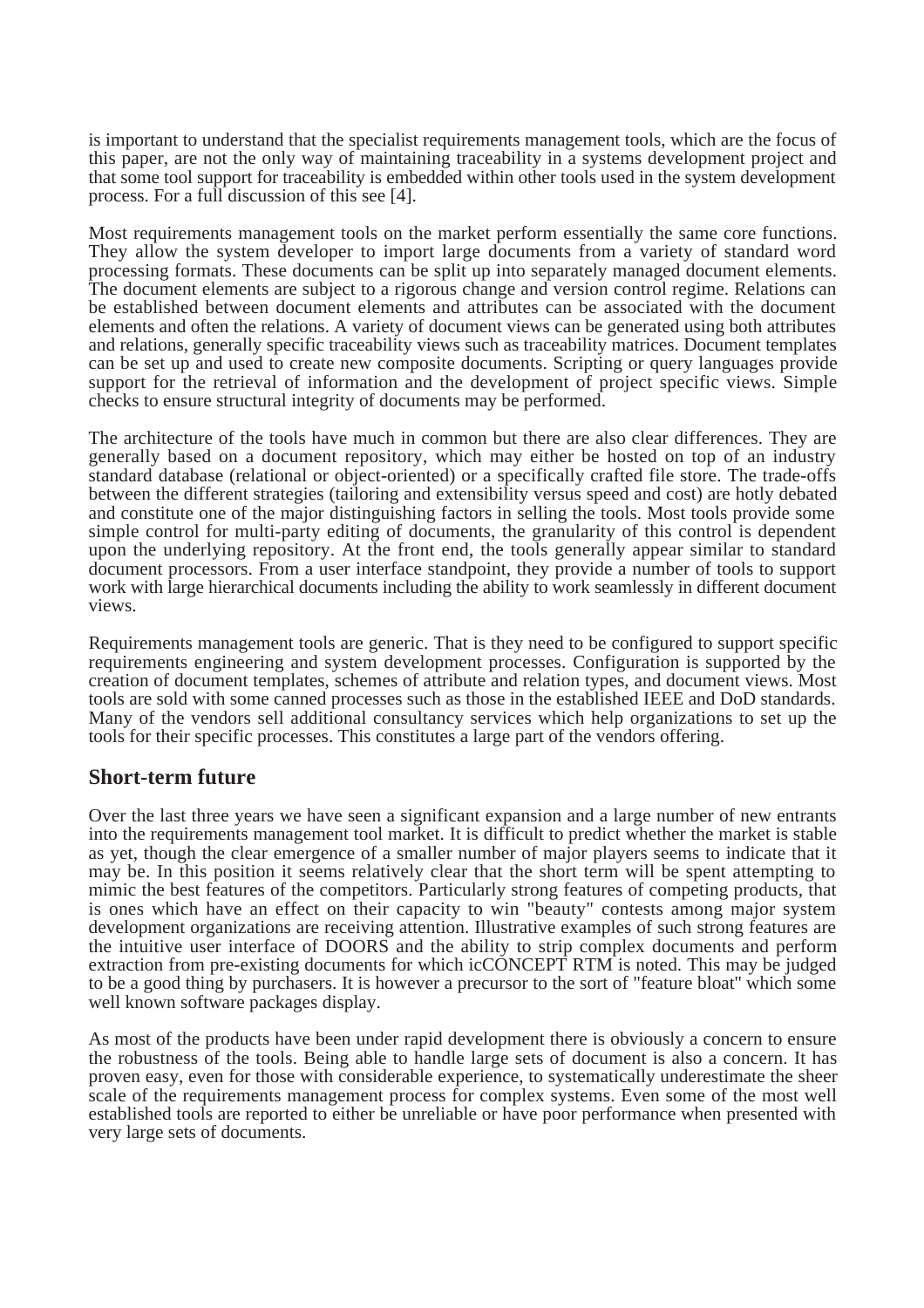is important to understand that the specialist requirements management tools, which are the focus of this paper, are not the only way of maintaining traceability in a systems development project and that some tool support for traceability is embedded within other tools used in the system development process. For a full discussion of this see [4].

Most requirements management tools on the market perform essentially the same core functions. They allow the system developer to import large documents from a variety of standard word processing formats. These documents can be split up into separately managed document elements. The document elements are subject to a rigorous change and version control regime. Relations can be established between document elements and attributes can be associated with the document elements and often the relations. A variety of document views can be generated using both attributes and relations, generally specific traceability views such as traceability matrices. Document templates can be set up and used to create new composite documents. Scripting or query languages provide support for the retrieval of information and the development of project specific views. Simple checks to ensure structural integrity of documents may be performed.

The architecture of the tools have much in common but there are also clear differences. They are generally based on a document repository, which may either be hosted on top of an industry standard database (relational or object-oriented) or a specifically crafted file store. The trade-offs between the different strategies (tailoring and extensibility versus speed and cost) are hotly debated and constitute one of the major distinguishing factors in selling the tools. Most tools provide some simple control for multi-party editing of documents, the granularity of this control is dependent upon the underlying repository. At the front end, the tools generally appear similar to standard document processors. From a user interface standpoint, they provide a number of tools to support work with large hierarchical documents including the ability to work seamlessly in different document views.

Requirements management tools are generic. That is they need to be configured to support specific requirements engineering and system development processes. Configuration is supported by the creation of document templates, schemes of attribute and relation types, and document views. Most tools are sold with some canned processes such as those in the established IEEE and DoD standards. Many of the vendors sell additional consultancy services which help organizations to set up the tools for their specific processes. This constitutes a large part of the vendors offering.

#### **Short-term future**

Over the last three years we have seen a significant expansion and a large number of new entrants into the requirements management tool market. It is difficult to predict whether the market is stable as yet, though the clear emergence of a smaller number of major players seems to indicate that it may be. In this position it seems relatively clear that the short term will be spent attempting to mimic the best features of the competitors. Particularly strong features of competing products, that is ones which have an effect on their capacity to win "beauty" contests among major system development organizations are receiving attention. Illustrative examples of such strong features are the intuitive user interface of DOORS and the ability to strip complex documents and perform extraction from pre-existing documents for which icCONCEPT RTM is noted. This may be judged to be a good thing by purchasers. It is however a precursor to the sort of "feature bloat'' which some well known software packages display.

As most of the products have been under rapid development there is obviously a concern to ensure the robustness of the tools. Being able to handle large sets of document is also a concern. It has proven easy, even for those with considerable experience, to systematically underestimate the sheer scale of the requirements management process for complex systems. Even some of the most well established tools are reported to either be unreliable or have poor performance when presented with very large sets of documents.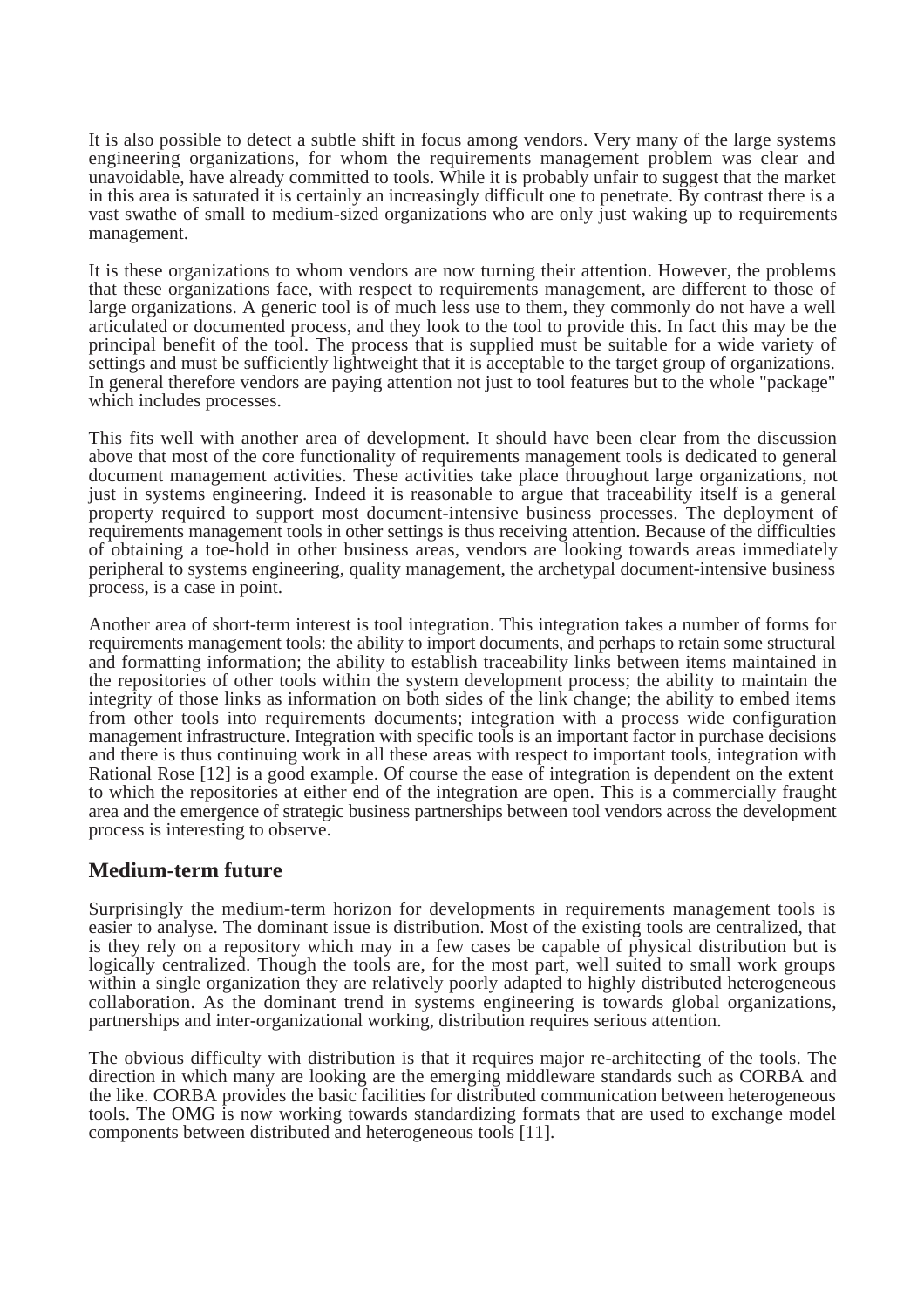It is also possible to detect a subtle shift in focus among vendors. Very many of the large systems engineering organizations, for whom the requirements management problem was clear and unavoidable, have already committed to tools. While it is probably unfair to suggest that the market in this area is saturated it is certainly an increasingly difficult one to penetrate. By contrast there is a vast swathe of small to medium-sized organizations who are only just waking up to requirements management.

It is these organizations to whom vendors are now turning their attention. However, the problems that these organizations face, with respect to requirements management, are different to those of large organizations. A generic tool is of much less use to them, they commonly do not have a well articulated or documented process, and they look to the tool to provide this. In fact this may be the principal benefit of the tool. The process that is supplied must be suitable for a wide variety of settings and must be sufficiently lightweight that it is acceptable to the target group of organizations. In general therefore vendors are paying attention not just to tool features but to the whole "package" which includes processes.

This fits well with another area of development. It should have been clear from the discussion above that most of the core functionality of requirements management tools is dedicated to general document management activities. These activities take place throughout large organizations, not just in systems engineering. Indeed it is reasonable to argue that traceability itself is a general property required to support most document-intensive business processes. The deployment of requirements management tools in other settings is thus receiving attention. Because of the difficulties of obtaining a toe-hold in other business areas, vendors are looking towards areas immediately peripheral to systems engineering, quality management, the archetypal document-intensive business process, is a case in point.

Another area of short-term interest is tool integration. This integration takes a number of forms for requirements management tools: the ability to import documents, and perhaps to retain some structural and formatting information; the ability to establish traceability links between items maintained in the repositories of other tools within the system development process; the ability to maintain the integrity of those links as information on both sides of the link change; the ability to embed items from other tools into requirements documents; integration with a process wide configuration management infrastructure. Integration with specific tools is an important factor in purchase decisions and there is thus continuing work in all these areas with respect to important tools, integration with Rational Rose [12] is a good example. Of course the ease of integration is dependent on the extent to which the repositories at either end of the integration are open. This is a commercially fraught area and the emergence of strategic business partnerships between tool vendors across the development process is interesting to observe.

## **Medium-term future**

Surprisingly the medium-term horizon for developments in requirements management tools is easier to analyse. The dominant issue is distribution. Most of the existing tools are centralized, that is they rely on a repository which may in a few cases be capable of physical distribution but is logically centralized. Though the tools are, for the most part, well suited to small work groups within a single organization they are relatively poorly adapted to highly distributed heterogeneous collaboration. As the dominant trend in systems engineering is towards global organizations, partnerships and inter-organizational working, distribution requires serious attention.

The obvious difficulty with distribution is that it requires major re-architecting of the tools. The direction in which many are looking are the emerging middleware standards such as CORBA and the like. CORBA provides the basic facilities for distributed communication between heterogeneous tools. The OMG is now working towards standardizing formats that are used to exchange model components between distributed and heterogeneous tools [11].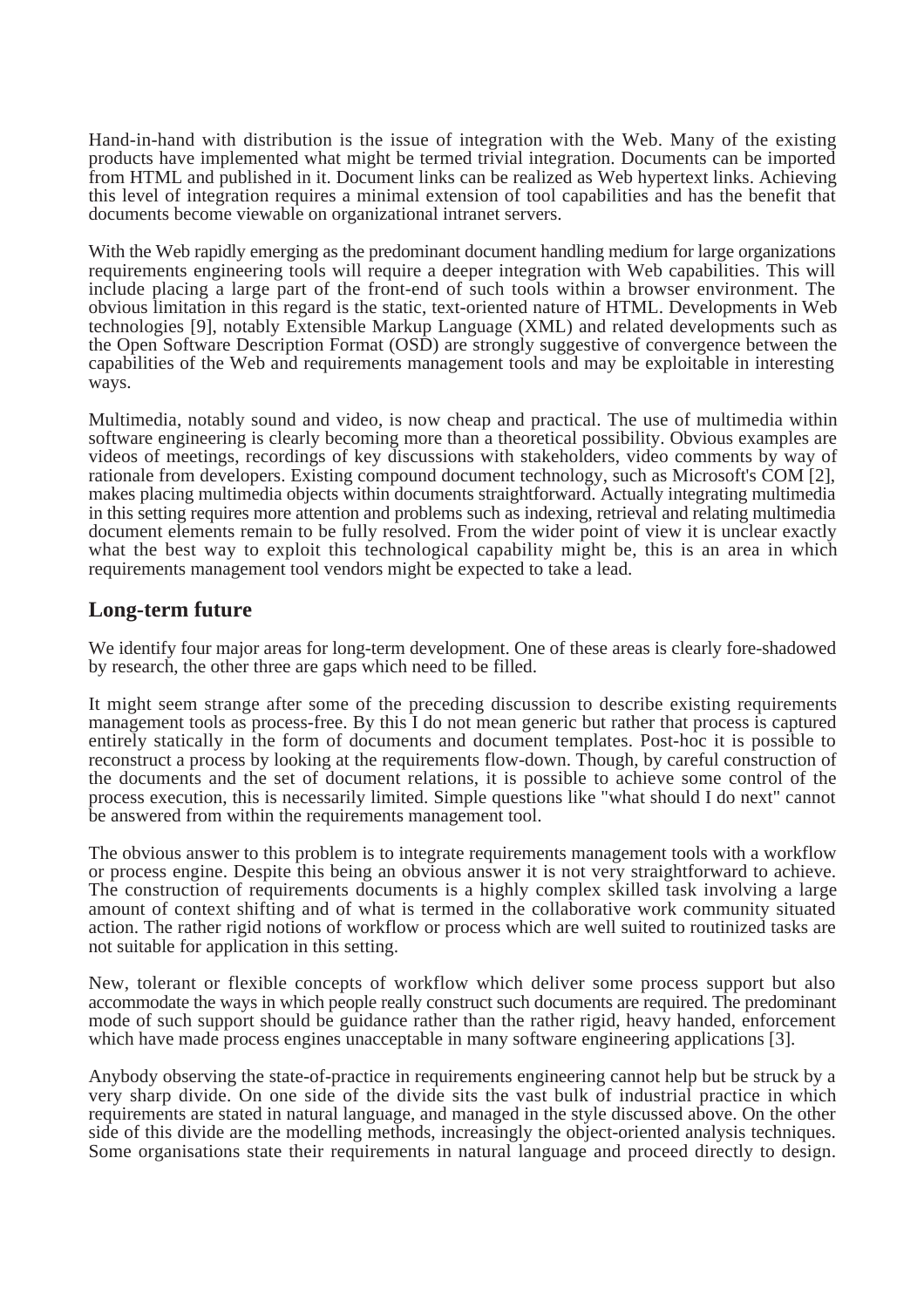Hand-in-hand with distribution is the issue of integration with the Web. Many of the existing products have implemented what might be termed trivial integration. Documents can be imported from HTML and published in it. Document links can be realized as Web hypertext links. Achieving this level of integration requires a minimal extension of tool capabilities and has the benefit that documents become viewable on organizational intranet servers.

With the Web rapidly emerging as the predominant document handling medium for large organizations requirements engineering tools will require a deeper integration with Web capabilities. This will include placing a large part of the front-end of such tools within a browser environment. The obvious limitation in this regard is the static, text-oriented nature of HTML. Developments in Web technologies [9], notably Extensible Markup Language (XML) and related developments such as the Open Software Description Format (OSD) are strongly suggestive of convergence between the capabilities of the Web and requirements management tools and may be exploitable in interesting ways.

Multimedia, notably sound and video, is now cheap and practical. The use of multimedia within software engineering is clearly becoming more than a theoretical possibility. Obvious examples are videos of meetings, recordings of key discussions with stakeholders, video comments by way of rationale from developers. Existing compound document technology, such as Microsoft's COM [2], makes placing multimedia objects within documents straightforward. Actually integrating multimedia in this setting requires more attention and problems such as indexing, retrieval and relating multimedia document elements remain to be fully resolved. From the wider point of view it is unclear exactly what the best way to exploit this technological capability might be, this is an area in which requirements management tool vendors might be expected to take a lead.

#### **Long-term future**

We identify four major areas for long-term development. One of these areas is clearly fore-shadowed by research, the other three are gaps which need to be filled.

It might seem strange after some of the preceding discussion to describe existing requirements management tools as process-free. By this I do not mean generic but rather that process is captured entirely statically in the form of documents and document templates. Post-hoc it is possible to reconstruct a process by looking at the requirements flow-down. Though, by careful construction of the documents and the set of document relations, it is possible to achieve some control of the process execution, this is necessarily limited. Simple questions like "what should I do next" cannot be answered from within the requirements management tool.

The obvious answer to this problem is to integrate requirements management tools with a workflow or process engine. Despite this being an obvious answer it is not very straightforward to achieve. The construction of requirements documents is a highly complex skilled task involving a large amount of context shifting and of what is termed in the collaborative work community situated action. The rather rigid notions of workflow or process which are well suited to routinized tasks are not suitable for application in this setting.

New, tolerant or flexible concepts of workflow which deliver some process support but also accommodate the ways in which people really construct such documents are required. The predominant mode of such support should be guidance rather than the rather rigid, heavy handed, enforcement which have made process engines unacceptable in many software engineering applications [3].

Anybody observing the state-of-practice in requirements engineering cannot help but be struck by a very sharp divide. On one side of the divide sits the vast bulk of industrial practice in which requirements are stated in natural language, and managed in the style discussed above. On the other side of this divide are the modelling methods, increasingly the object-oriented analysis techniques. Some organisations state their requirements in natural language and proceed directly to design.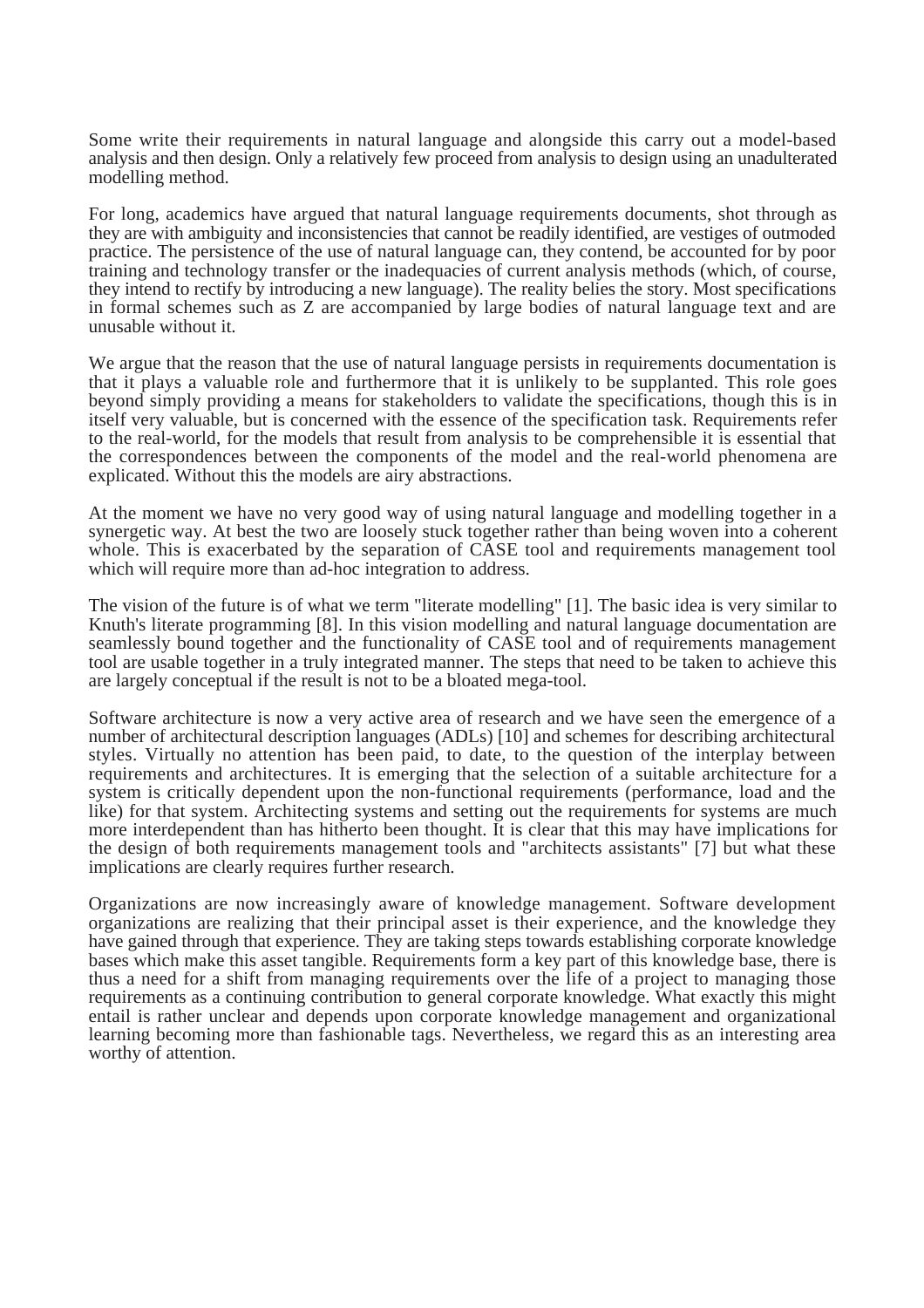Some write their requirements in natural language and alongside this carry out a model-based analysis and then design. Only a relatively few proceed from analysis to design using an unadulterated modelling method.

For long, academics have argued that natural language requirements documents, shot through as they are with ambiguity and inconsistencies that cannot be readily identified, are vestiges of outmoded practice. The persistence of the use of natural language can, they contend, be accounted for by poor training and technology transfer or the inadequacies of current analysis methods (which, of course, they intend to rectify by introducing a new language). The reality belies the story. Most specifications in formal schemes such as Z are accompanied by large bodies of natural language text and are unusable without it.

We argue that the reason that the use of natural language persists in requirements documentation is that it plays a valuable role and furthermore that it is unlikely to be supplanted. This role goes beyond simply providing a means for stakeholders to validate the specifications, though this is in itself very valuable, but is concerned with the essence of the specification task. Requirements refer to the real-world, for the models that result from analysis to be comprehensible it is essential that the correspondences between the components of the model and the real-world phenomena are explicated. Without this the models are airy abstractions.

At the moment we have no very good way of using natural language and modelling together in a synergetic way. At best the two are loosely stuck together rather than being woven into a coherent whole. This is exacerbated by the separation of CASE tool and requirements management tool which will require more than ad-hoc integration to address.

The vision of the future is of what we term "literate modelling" [1]. The basic idea is very similar to Knuth's literate programming [8]. In this vision modelling and natural language documentation are seamlessly bound together and the functionality of CASE tool and of requirements management tool are usable together in a truly integrated manner. The steps that need to be taken to achieve this are largely conceptual if the result is not to be a bloated mega-tool.

Software architecture is now a very active area of research and we have seen the emergence of a number of architectural description languages (ADLs) [10] and schemes for describing architectural styles. Virtually no attention has been paid, to date, to the question of the interplay between requirements and architectures. It is emerging that the selection of a suitable architecture for a system is critically dependent upon the non-functional requirements (performance, load and the like) for that system. Architecting systems and setting out the requirements for systems are much more interdependent than has hitherto been thought. It is clear that this may have implications for the design of both requirements management tools and "architects assistants" [7] but what these implications are clearly requires further research.

Organizations are now increasingly aware of knowledge management. Software development organizations are realizing that their principal asset is their experience, and the knowledge they have gained through that experience. They are taking steps towards establishing corporate knowledge bases which make this asset tangible. Requirements form a key part of this knowledge base, there is thus a need for a shift from managing requirements over the life of a project to managing those requirements as a continuing contribution to general corporate knowledge. What exactly this might entail is rather unclear and depends upon corporate knowledge management and organizational learning becoming more than fashionable tags. Nevertheless, we regard this as an interesting area worthy of attention.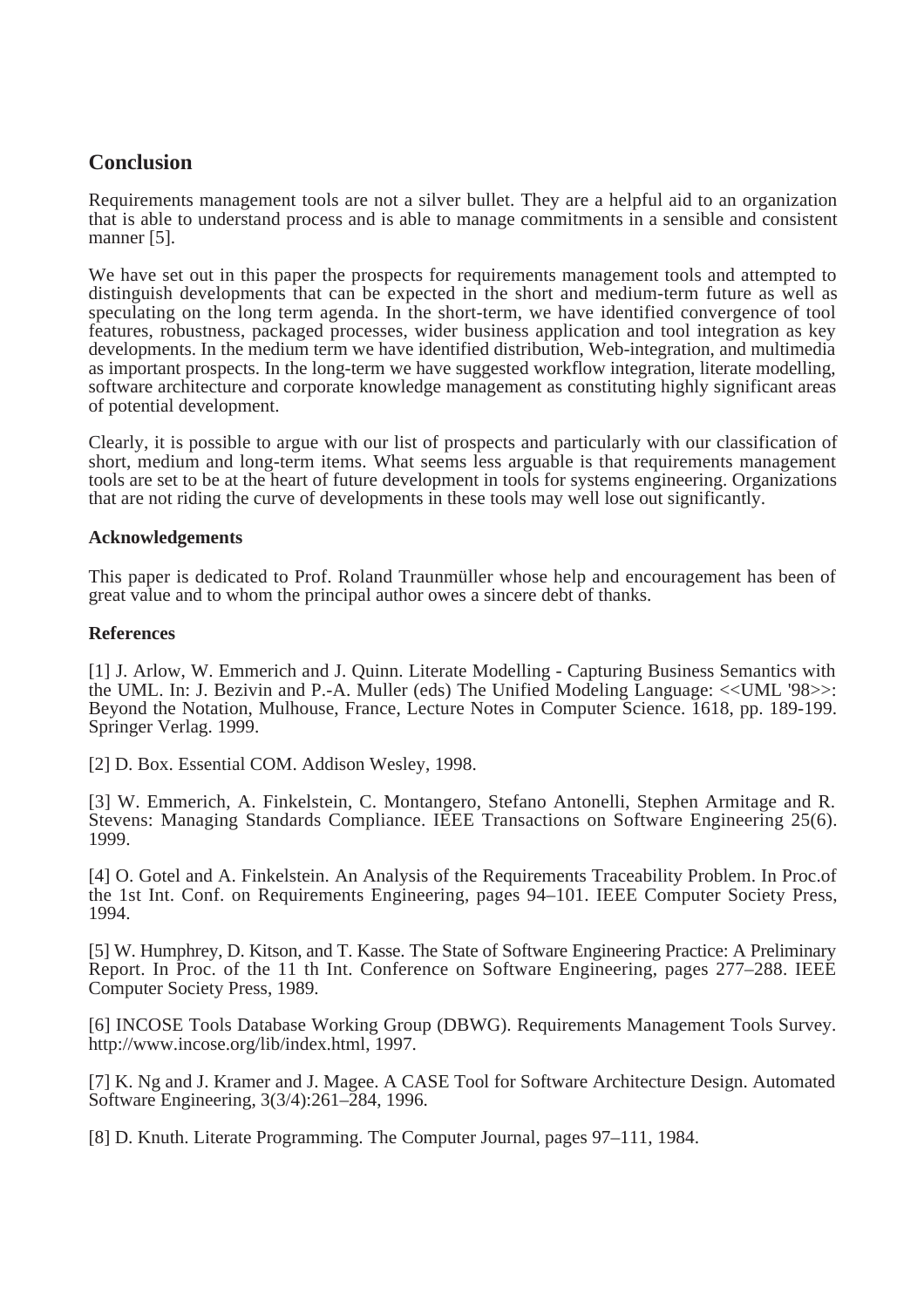# **Conclusion**

Requirements management tools are not a silver bullet. They are a helpful aid to an organization that is able to understand process and is able to manage commitments in a sensible and consistent manner [5].

We have set out in this paper the prospects for requirements management tools and attempted to distinguish developments that can be expected in the short and medium-term future as well as speculating on the long term agenda. In the short-term, we have identified convergence of tool features, robustness, packaged processes, wider business application and tool integration as key developments. In the medium term we have identified distribution, Web-integration, and multimedia as important prospects. In the long-term we have suggested workflow integration, literate modelling, software architecture and corporate knowledge management as constituting highly significant areas of potential development.

Clearly, it is possible to argue with our list of prospects and particularly with our classification of short, medium and long-term items. What seems less arguable is that requirements management tools are set to be at the heart of future development in tools for systems engineering. Organizations that are not riding the curve of developments in these tools may well lose out significantly.

#### **Acknowledgements**

This paper is dedicated to Prof. Roland Traunmüller whose help and encouragement has been of great value and to whom the principal author owes a sincere debt of thanks.

#### **References**

[1] J. Arlow, W. Emmerich and J. Quinn. Literate Modelling - Capturing Business Semantics with the UML. In: J. Bezivin and P.-A. Muller (eds) The Unified Modeling Language: <<UML '98>>: Beyond the Notation, Mulhouse, France, Lecture Notes in Computer Science. 1618, pp. 189-199. Springer Verlag. 1999.

[2] D. Box. Essential COM. Addison Wesley, 1998.

[3] W. Emmerich, A. Finkelstein, C. Montangero, Stefano Antonelli, Stephen Armitage and R. Stevens: Managing Standards Compliance. IEEE Transactions on Software Engineering 25(6). 1999.

[4] O. Gotel and A. Finkelstein. An Analysis of the Requirements Traceability Problem. In Proc.of the 1st Int. Conf. on Requirements Engineering, pages 94–101. IEEE Computer Society Press, 1994.

[5] W. Humphrey, D. Kitson, and T. Kasse. The State of Software Engineering Practice: A Preliminary Report. In Proc. of the 11 th Int. Conference on Software Engineering, pages 277–288. IEEE Computer Society Press, 1989.

[6] INCOSE Tools Database Working Group (DBWG). Requirements Management Tools Survey. http://www.incose.org/lib/index.html, 1997.

[7] K. Ng and J. Kramer and J. Magee. A CASE Tool for Software Architecture Design. Automated Software Engineering, 3(3/4):261–284, 1996.

[8] D. Knuth. Literate Programming. The Computer Journal, pages 97–111, 1984.